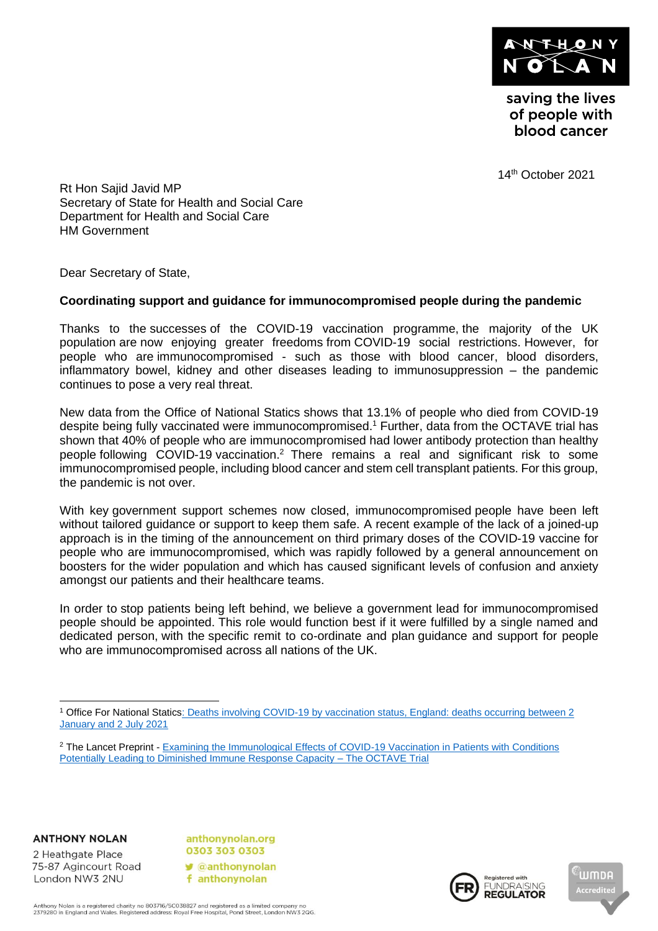

saving the lives of people with blood cancer

14 th October 2021

Rt Hon Sajid Javid MP Secretary of State for Health and Social Care Department for Health and Social Care HM Government

Dear Secretary of State,

## **Coordinating support and guidance for immunocompromised people during the pandemic**

Thanks to the successes of the COVID-19 vaccination programme, the majority of the UK population are now enjoying greater freedoms from COVID-19 social restrictions. However, for people who are immunocompromised - such as those with blood cancer, blood disorders, inflammatory bowel, kidney and other diseases leading to immunosuppression – the pandemic continues to pose a very real threat.

New data from the Office of National Statics shows that 13.1% of people who died from COVID-19 despite being fully vaccinated were immunocompromised. <sup>1</sup> Further, data from the OCTAVE trial has shown that 40% of people who are immunocompromised had lower antibody protection than healthy people following COVID-19 vaccination.<sup>2</sup> There remains a real and significant risk to some immunocompromised people, including blood cancer and stem cell transplant patients. For this group, the pandemic is not over.

With key government support schemes now closed, immunocompromised people have been left without tailored guidance or support to keep them safe. A recent example of the lack of a joined-up approach is in the timing of the announcement on third primary doses of the COVID-19 vaccine for people who are immunocompromised, which was rapidly followed by a general announcement on boosters for the wider population and which has caused significant levels of confusion and anxiety amongst our patients and their healthcare teams.

In order to stop patients being left behind, we believe a government lead for immunocompromised people should be appointed. This role would function best if it were fulfilled by a single named and dedicated person, with the specific remit to co-ordinate and plan guidance and support for people who are immunocompromised across all nations of the UK.

**ANTHONY NOLAN** 

2 Heathgate Place 75-87 Agincourt Road London NW3 2NU

anthonynolan.org 0303 303 0303  $\triangle$ anthonynolan f anthonynolan





<sup>1</sup> Office For National Statics: [Deaths involving COVID-19 by vaccination status, England: deaths occurring between 2](https://www.ons.gov.uk/peoplepopulationandcommunity/birthsdeathsandmarriages/deaths/articles/deathsinvolvingcovid19byvaccinationstatusengland/deathsoccurringbetween2januaryand2july2021)  [January and 2 July 2021](https://www.ons.gov.uk/peoplepopulationandcommunity/birthsdeathsandmarriages/deaths/articles/deathsinvolvingcovid19byvaccinationstatusengland/deathsoccurringbetween2januaryand2july2021)

<sup>2</sup> The Lancet Preprint - [Examining the Immunological Effects of COVID-19 Vaccination in Patients with Conditions](https://papers.ssrn.com/sol3/papers.cfm?abstract_id=3910058)  [Potentially Leading to Diminished Immune Response Capacity –](https://papers.ssrn.com/sol3/papers.cfm?abstract_id=3910058) The OCTAVE Trial